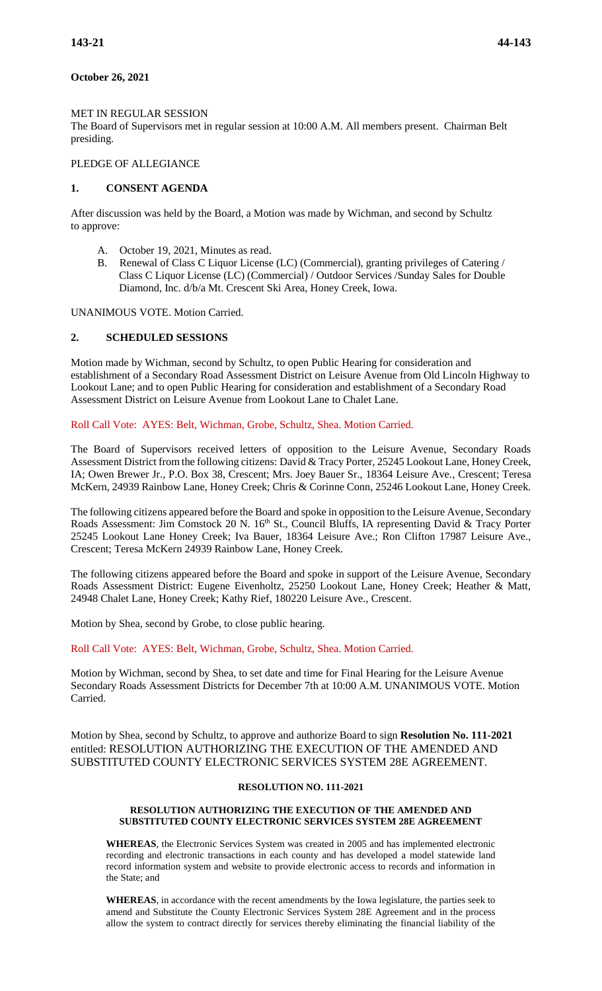# **October 26, 2021**

## MET IN REGULAR SESSION

The Board of Supervisors met in regular session at 10:00 A.M. All members present. Chairman Belt presiding.

# PLEDGE OF ALLEGIANCE

# **1. CONSENT AGENDA**

After discussion was held by the Board, a Motion was made by Wichman, and second by Schultz to approve:

- A. October 19, 2021, Minutes as read.
- B. Renewal of Class C Liquor License (LC) (Commercial), granting privileges of Catering / Class C Liquor License (LC) (Commercial) / Outdoor Services /Sunday Sales for Double Diamond, Inc. d/b/a Mt. Crescent Ski Area, Honey Creek, Iowa.

UNANIMOUS VOTE. Motion Carried.

## **2. SCHEDULED SESSIONS**

Motion made by Wichman, second by Schultz, to open Public Hearing for consideration and establishment of a Secondary Road Assessment District on Leisure Avenue from Old Lincoln Highway to Lookout Lane; and to open Public Hearing for consideration and establishment of a Secondary Road Assessment District on Leisure Avenue from Lookout Lane to Chalet Lane.

Roll Call Vote: AYES: Belt, Wichman, Grobe, Schultz, Shea. Motion Carried.

The Board of Supervisors received letters of opposition to the Leisure Avenue, Secondary Roads Assessment District from the following citizens: David & Tracy Porter, 25245 Lookout Lane, Honey Creek, IA; Owen Brewer Jr., P.O. Box 38, Crescent; Mrs. Joey Bauer Sr., 18364 Leisure Ave., Crescent; Teresa McKern, 24939 Rainbow Lane, Honey Creek; Chris & Corinne Conn, 25246 Lookout Lane, Honey Creek.

The following citizens appeared before the Board and spoke in opposition to the Leisure Avenue, Secondary Roads Assessment: Jim Comstock 20 N. 16<sup>th</sup> St., Council Bluffs, IA representing David & Tracy Porter 25245 Lookout Lane Honey Creek; Iva Bauer, 18364 Leisure Ave.; Ron Clifton 17987 Leisure Ave., Crescent; Teresa McKern 24939 Rainbow Lane, Honey Creek.

The following citizens appeared before the Board and spoke in support of the Leisure Avenue, Secondary Roads Assessment District: Eugene Eivenholtz, 25250 Lookout Lane, Honey Creek; Heather & Matt, 24948 Chalet Lane, Honey Creek; Kathy Rief, 180220 Leisure Ave., Crescent.

Motion by Shea, second by Grobe, to close public hearing.

Roll Call Vote: AYES: Belt, Wichman, Grobe, Schultz, Shea. Motion Carried.

Motion by Wichman, second by Shea, to set date and time for Final Hearing for the Leisure Avenue Secondary Roads Assessment Districts for December 7th at 10:00 A.M. UNANIMOUS VOTE. Motion Carried.

Motion by Shea, second by Schultz, to approve and authorize Board to sign **Resolution No. 111-2021** entitled: RESOLUTION AUTHORIZING THE EXECUTION OF THE AMENDED AND SUBSTITUTED COUNTY ELECTRONIC SERVICES SYSTEM 28E AGREEMENT.

# **RESOLUTION NO. 111-2021**

#### **RESOLUTION AUTHORIZING THE EXECUTION OF THE AMENDED AND SUBSTITUTED COUNTY ELECTRONIC SERVICES SYSTEM 28E AGREEMENT**

**WHEREAS**, the Electronic Services System was created in 2005 and has implemented electronic recording and electronic transactions in each county and has developed a model statewide land record information system and website to provide electronic access to records and information in the State; and

**WHEREAS**, in accordance with the recent amendments by the Iowa legislature, the parties seek to amend and Substitute the County Electronic Services System 28E Agreement and in the process allow the system to contract directly for services thereby eliminating the financial liability of the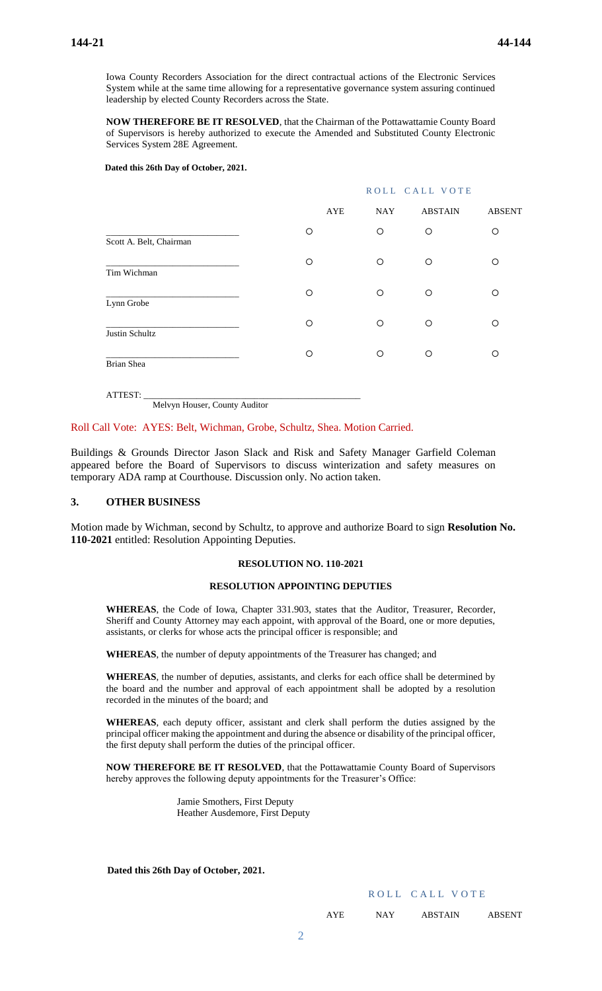Iowa County Recorders Association for the direct contractual actions of the Electronic Services System while at the same time allowing for a representative governance system assuring continued leadership by elected County Recorders across the State.

**NOW THEREFORE BE IT RESOLVED**, that the Chairman of the Pottawattamie County Board of Supervisors is hereby authorized to execute the Amended and Substituted County Electronic Services System 28E Agreement.

#### **Dated this 26th Day of October, 2021.**

|                         | ROLL CALL VOTE |            |                |               |  |
|-------------------------|----------------|------------|----------------|---------------|--|
|                         | <b>AYE</b>     | <b>NAY</b> | <b>ABSTAIN</b> | <b>ABSENT</b> |  |
| Scott A. Belt, Chairman | O              | O          | $\circ$        | O             |  |
| Tim Wichman             | O              | $\circ$    | $\circ$        | O             |  |
| Lynn Grobe              | O              | O          | $\circ$        | O             |  |
| Justin Schultz          | O              | O          | $\circ$        | O             |  |
| Brian Shea              | O              | O          | O              | O             |  |
|                         |                |            |                |               |  |

Roll Call Vote: AYES: Belt, Wichman, Grobe, Schultz, Shea. Motion Carried.

Melvyn Houser, County Auditor

ATTEST: \_\_\_\_\_\_\_\_\_\_\_\_\_\_\_\_\_\_\_\_\_\_\_\_\_\_\_\_\_\_\_\_\_\_\_\_\_\_\_\_\_\_\_\_\_\_\_\_\_

Buildings & Grounds Director Jason Slack and Risk and Safety Manager Garfield Coleman appeared before the Board of Supervisors to discuss winterization and safety measures on temporary ADA ramp at Courthouse. Discussion only. No action taken.

# **3. OTHER BUSINESS**

Motion made by Wichman, second by Schultz, to approve and authorize Board to sign **Resolution No. 110-2021** entitled: Resolution Appointing Deputies.

#### **RESOLUTION NO. 110-2021**

#### **RESOLUTION APPOINTING DEPUTIES**

**WHEREAS**, the Code of Iowa, Chapter 331.903, states that the Auditor, Treasurer, Recorder, Sheriff and County Attorney may each appoint, with approval of the Board, one or more deputies, assistants, or clerks for whose acts the principal officer is responsible; and

**WHEREAS**, the number of deputy appointments of the Treasurer has changed; and

**WHEREAS**, the number of deputies, assistants, and clerks for each office shall be determined by the board and the number and approval of each appointment shall be adopted by a resolution recorded in the minutes of the board; and

**WHEREAS**, each deputy officer, assistant and clerk shall perform the duties assigned by the principal officer making the appointment and during the absence or disability of the principal officer, the first deputy shall perform the duties of the principal officer.

**NOW THEREFORE BE IT RESOLVED**, that the Pottawattamie County Board of Supervisors hereby approves the following deputy appointments for the Treasurer's Office:

> Jamie Smothers, First Deputy Heather Ausdemore, First Deputy

**Dated this 26th Day of October, 2021.**

#### ROLL CALL VOTE

## AYE NAY ABSTAIN ABSENT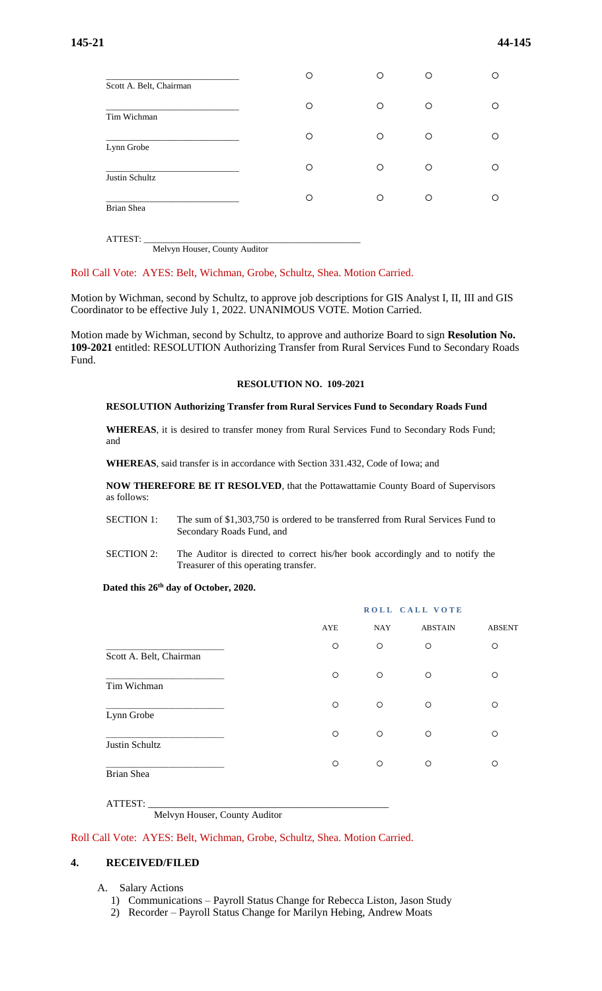|                         | O | ◯       | O | ∩ |
|-------------------------|---|---------|---|---|
| Scott A. Belt, Chairman |   |         |   |   |
|                         | O | $\circ$ | O | ∩ |
| Tim Wichman             |   |         |   |   |
|                         | О | $\circ$ | O | ∩ |
| Lynn Grobe              |   |         |   |   |
|                         | O | $\circ$ | O | ∩ |
| Justin Schultz          |   |         |   |   |
|                         | О | ∩       | O | ∩ |
| <b>Brian Shea</b>       |   |         |   |   |
|                         |   |         |   |   |

ATTEST: \_\_\_\_\_\_\_\_\_\_\_\_\_\_\_\_\_\_\_\_\_\_\_\_\_\_\_\_\_\_\_\_\_\_\_\_\_\_\_\_\_\_\_\_\_\_\_\_\_ Melvyn Houser, County Auditor

# Roll Call Vote: AYES: Belt, Wichman, Grobe, Schultz, Shea. Motion Carried.

Motion by Wichman, second by Schultz, to approve job descriptions for GIS Analyst I, II, III and GIS Coordinator to be effective July 1, 2022. UNANIMOUS VOTE. Motion Carried.

Motion made by Wichman, second by Schultz, to approve and authorize Board to sign **Resolution No. 109-2021** entitled: RESOLUTION Authorizing Transfer from Rural Services Fund to Secondary Roads Fund.

### **RESOLUTION NO. 109-2021**

#### **RESOLUTION Authorizing Transfer from Rural Services Fund to Secondary Roads Fund**

**WHEREAS**, it is desired to transfer money from Rural Services Fund to Secondary Rods Fund; and

**WHEREAS**, said transfer is in accordance with Section 331.432, Code of Iowa; and

**NOW THEREFORE BE IT RESOLVED**, that the Pottawattamie County Board of Supervisors as follows:

SECTION 1: The sum of \$1,303,750 is ordered to be transferred from Rural Services Fund to Secondary Roads Fund, and

SECTION 2: The Auditor is directed to correct his/her book accordingly and to notify the Treasurer of this operating transfer.

## **Dated this 26th day of October, 2020.**

|                         |         | ROLL CALL VOTE |                |               |  |
|-------------------------|---------|----------------|----------------|---------------|--|
|                         | AYE     | <b>NAY</b>     | <b>ABSTAIN</b> | <b>ABSENT</b> |  |
| Scott A. Belt, Chairman | $\circ$ | $\circ$        | $\circ$        | $\circ$       |  |
| Tim Wichman             | O       | $\circ$        | $\circ$        | O             |  |
| Lynn Grobe              | O       | $\circ$        | $\circ$        | O             |  |
| Justin Schultz          | $\circ$ | $\circ$        | $\circ$        | $\circ$       |  |
| <b>Brian Shea</b>       | $\circ$ | $\circ$        | $\circ$        | $\circ$       |  |

ATTEST: \_\_\_\_\_\_\_\_\_\_\_\_\_\_\_\_\_\_\_\_\_\_\_\_\_\_\_\_\_\_\_\_\_\_\_\_\_\_\_\_\_\_\_\_\_\_\_\_\_

Melvyn Houser, County Auditor

#### Roll Call Vote: AYES: Belt, Wichman, Grobe, Schultz, Shea. Motion Carried.

# **4. RECEIVED/FILED**

#### A. Salary Actions

- 1) Communications Payroll Status Change for Rebecca Liston, Jason Study
- 2) Recorder Payroll Status Change for Marilyn Hebing, Andrew Moats